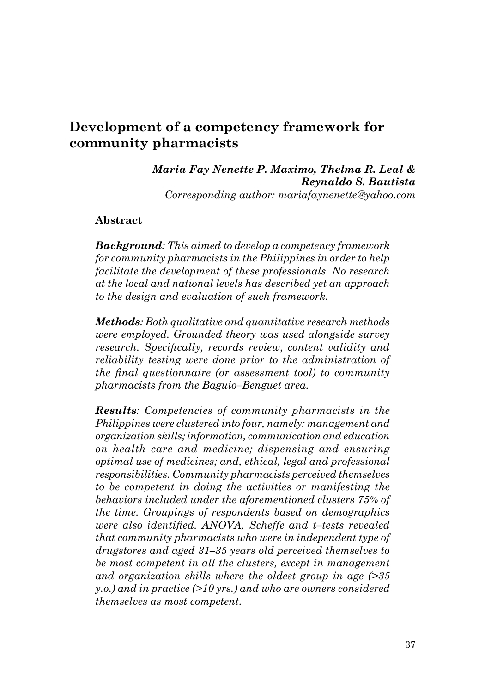# **Development of a competency framework for community pharmacists**

## *Maria Fay Nenette P. Maximo, Thelma R. Leal & Reynaldo S. Bautista*

*Corresponding author: mariafaynenette@yahoo.com*

#### **Abstract**

*Background: This aimed to develop a competency framework for community pharmacists in the Philippines in order to help facilitate the development of these professionals. No research at the local and national levels has described yet an approach to the design and evaluation of such framework.* 

*Methods: Both qualitative and quantitative research methods were employed. Grounded theory was used alongside survey research. Specifically, records review, content validity and reliability testing were done prior to the administration of the final questionnaire (or assessment tool) to community pharmacists from the Baguio–Benguet area.*

*Results: Competencies of community pharmacists in the Philippines were clustered into four, namely: management and organization skills; information, communication and education on health care and medicine; dispensing and ensuring optimal use of medicines; and, ethical, legal and professional responsibilities. Community pharmacists perceived themselves to be competent in doing the activities or manifesting the behaviors included under the aforementioned clusters 75% of the time. Groupings of respondents based on demographics were also identified. ANOVA, Scheffe and t–tests revealed that community pharmacists who were in independent type of drugstores and aged 31–35 years old perceived themselves to be most competent in all the clusters, except in management and organization skills where the oldest group in age (>35 y.o.) and in practice (>10 yrs.) and who are owners considered themselves as most competent.*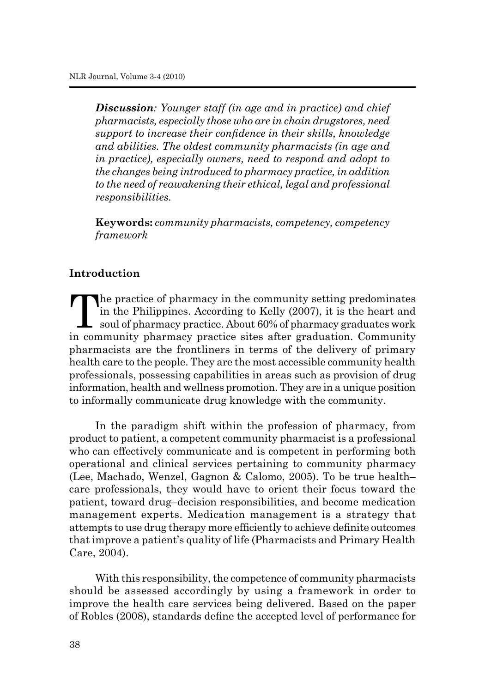*Discussion: Younger staff (in age and in practice) and chief pharmacists, especially those who are in chain drugstores, need support to increase their confidence in their skills, knowledge and abilities. The oldest community pharmacists (in age and in practice), especially owners, need to respond and adopt to the changes being introduced to pharmacy practice, in addition to the need of reawakening their ethical, legal and professional responsibilities.*

**Keywords:** *community pharmacists, competency, competency framework*

## **Introduction**

The practice of pharmacy in the community setting predominates<br>
in the Philippines. According to Kelly (2007), it is the heart and<br>
soul of pharmacy practice. About 60% of pharmacy graduates work<br>
in community, pharmacy, p in the Philippines. According to Kelly (2007), it is the heart and in community pharmacy practice sites after graduation. Community pharmacists are the frontliners in terms of the delivery of primary health care to the people. They are the most accessible community health professionals, possessing capabilities in areas such as provision of drug information, health and wellness promotion. They are in a unique position to informally communicate drug knowledge with the community.

In the paradigm shift within the profession of pharmacy, from product to patient, a competent community pharmacist is a professional who can effectively communicate and is competent in performing both operational and clinical services pertaining to community pharmacy (Lee, Machado, Wenzel, Gagnon & Calomo, 2005). To be true health– care professionals, they would have to orient their focus toward the patient, toward drug–decision responsibilities, and become medication management experts. Medication management is a strategy that attempts to use drug therapy more efficiently to achieve definite outcomes that improve a patient's quality of life (Pharmacists and Primary Health Care, 2004).

With this responsibility, the competence of community pharmacists should be assessed accordingly by using a framework in order to improve the health care services being delivered. Based on the paper of Robles (2008), standards define the accepted level of performance for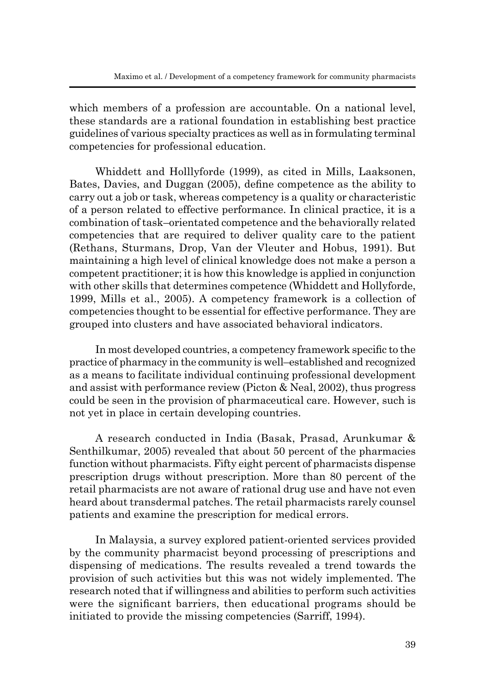which members of a profession are accountable. On a national level, these standards are a rational foundation in establishing best practice guidelines of various specialty practices as well as in formulating terminal competencies for professional education.

Whiddett and Holllyforde (1999), as cited in Mills, Laaksonen, Bates, Davies, and Duggan (2005), define competence as the ability to carry out a job or task, whereas competency is a quality or characteristic of a person related to effective performance. In clinical practice, it is a combination of task–orientated competence and the behaviorally related competencies that are required to deliver quality care to the patient (Rethans, Sturmans, Drop, Van der Vleuter and Hobus, 1991). But maintaining a high level of clinical knowledge does not make a person a competent practitioner; it is how this knowledge is applied in conjunction with other skills that determines competence (Whiddett and Hollyforde, 1999, Mills et al., 2005). A competency framework is a collection of competencies thought to be essential for effective performance. They are grouped into clusters and have associated behavioral indicators.

In most developed countries, a competency framework specific to the practice of pharmacy in the community is well–established and recognized as a means to facilitate individual continuing professional development and assist with performance review (Picton & Neal, 2002), thus progress could be seen in the provision of pharmaceutical care. However, such is not yet in place in certain developing countries.

A research conducted in India (Basak, Prasad, Arunkumar & Senthilkumar, 2005) revealed that about 50 percent of the pharmacies function without pharmacists. Fifty eight percent of pharmacists dispense prescription drugs without prescription. More than 80 percent of the retail pharmacists are not aware of rational drug use and have not even heard about transdermal patches. The retail pharmacists rarely counsel patients and examine the prescription for medical errors.

In Malaysia, a survey explored patient-oriented services provided by the community pharmacist beyond processing of prescriptions and dispensing of medications. The results revealed a trend towards the provision of such activities but this was not widely implemented. The research noted that if willingness and abilities to perform such activities were the significant barriers, then educational programs should be initiated to provide the missing competencies (Sarriff, 1994).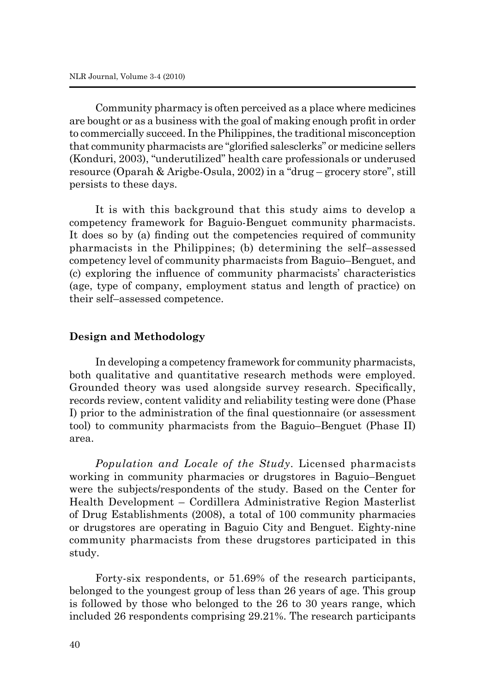Community pharmacy is often perceived as a place where medicines are bought or as a business with the goal of making enough profit in order to commercially succeed. In the Philippines, the traditional misconception that community pharmacists are "glorified salesclerks" or medicine sellers (Konduri, 2003), "underutilized" health care professionals or underused resource (Oparah & Arigbe-Osula, 2002) in a "drug – grocery store", still persists to these days.

It is with this background that this study aims to develop a competency framework for Baguio-Benguet community pharmacists. It does so by (a) finding out the competencies required of community pharmacists in the Philippines; (b) determining the self–assessed competency level of community pharmacists from Baguio–Benguet, and (c) exploring the influence of community pharmacists' characteristics (age, type of company, employment status and length of practice) on their self–assessed competence.

#### **Design and Methodology**

In developing a competency framework for community pharmacists, both qualitative and quantitative research methods were employed. Grounded theory was used alongside survey research. Specifically, records review, content validity and reliability testing were done (Phase I) prior to the administration of the final questionnaire (or assessment tool) to community pharmacists from the Baguio–Benguet (Phase II) area.

*Population and Locale of the Study*. Licensed pharmacists working in community pharmacies or drugstores in Baguio–Benguet were the subjects/respondents of the study. Based on the Center for Health Development – Cordillera Administrative Region Masterlist of Drug Establishments (2008), a total of 100 community pharmacies or drugstores are operating in Baguio City and Benguet. Eighty-nine community pharmacists from these drugstores participated in this study.

Forty-six respondents, or 51.69% of the research participants, belonged to the youngest group of less than 26 years of age. This group is followed by those who belonged to the 26 to 30 years range, which included 26 respondents comprising 29.21%. The research participants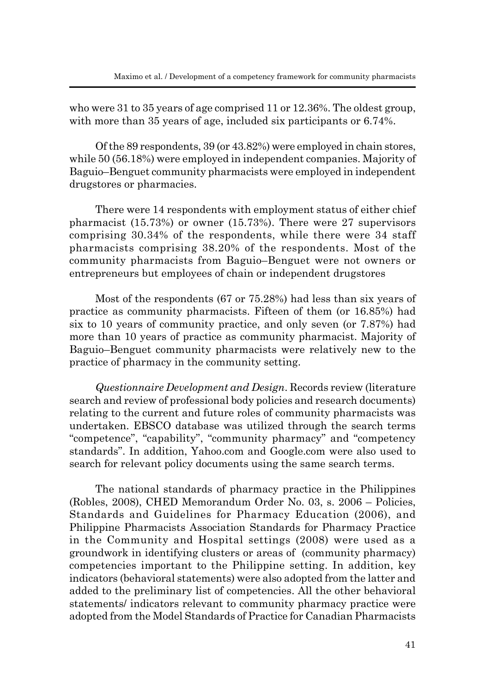who were 31 to 35 years of age comprised 11 or 12.36%. The oldest group, with more than 35 years of age, included six participants or 6.74%.

Of the 89 respondents, 39 (or 43.82%) were employed in chain stores, while 50 (56.18%) were employed in independent companies. Majority of Baguio–Benguet community pharmacists were employed in independent drugstores or pharmacies.

There were 14 respondents with employment status of either chief pharmacist (15.73%) or owner (15.73%). There were 27 supervisors comprising 30.34% of the respondents, while there were 34 staff pharmacists comprising 38.20% of the respondents. Most of the community pharmacists from Baguio–Benguet were not owners or entrepreneurs but employees of chain or independent drugstores

Most of the respondents (67 or 75.28%) had less than six years of practice as community pharmacists. Fifteen of them (or 16.85%) had six to 10 years of community practice, and only seven (or 7.87%) had more than 10 years of practice as community pharmacist. Majority of Baguio–Benguet community pharmacists were relatively new to the practice of pharmacy in the community setting.

*Questionnaire Development and Design*. Records review (literature search and review of professional body policies and research documents) relating to the current and future roles of community pharmacists was undertaken. EBSCO database was utilized through the search terms "competence", "capability", "community pharmacy" and "competency standards". In addition, Yahoo.com and Google.com were also used to search for relevant policy documents using the same search terms.

The national standards of pharmacy practice in the Philippines (Robles, 2008), CHED Memorandum Order No. 03, s. 2006 – Policies, Standards and Guidelines for Pharmacy Education (2006), and Philippine Pharmacists Association Standards for Pharmacy Practice in the Community and Hospital settings (2008) were used as a groundwork in identifying clusters or areas of (community pharmacy) competencies important to the Philippine setting. In addition, key indicators (behavioral statements) were also adopted from the latter and added to the preliminary list of competencies. All the other behavioral statements/ indicators relevant to community pharmacy practice were adopted from the Model Standards of Practice for Canadian Pharmacists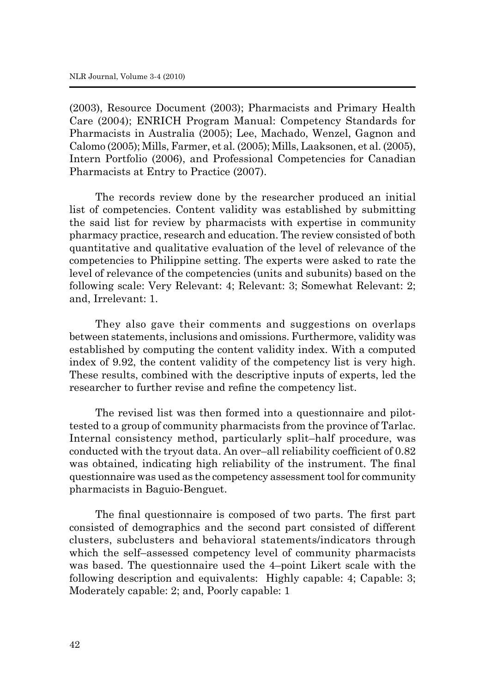(2003), Resource Document (2003); Pharmacists and Primary Health Care (2004); ENRICH Program Manual: Competency Standards for Pharmacists in Australia (2005); Lee, Machado, Wenzel, Gagnon and Calomo (2005); Mills, Farmer, et al. (2005); Mills, Laaksonen, et al. (2005), Intern Portfolio (2006), and Professional Competencies for Canadian Pharmacists at Entry to Practice (2007).

The records review done by the researcher produced an initial list of competencies. Content validity was established by submitting the said list for review by pharmacists with expertise in community pharmacy practice, research and education. The review consisted of both quantitative and qualitative evaluation of the level of relevance of the competencies to Philippine setting. The experts were asked to rate the level of relevance of the competencies (units and subunits) based on the following scale: Very Relevant: 4; Relevant: 3; Somewhat Relevant: 2; and, Irrelevant: 1.

They also gave their comments and suggestions on overlaps between statements, inclusions and omissions. Furthermore, validity was established by computing the content validity index. With a computed index of 9.92, the content validity of the competency list is very high. These results, combined with the descriptive inputs of experts, led the researcher to further revise and refine the competency list.

The revised list was then formed into a questionnaire and pilottested to a group of community pharmacists from the province of Tarlac. Internal consistency method, particularly split–half procedure, was conducted with the tryout data. An over–all reliability coefficient of 0.82 was obtained, indicating high reliability of the instrument. The final questionnaire was used as the competency assessment tool for community pharmacists in Baguio-Benguet.

The final questionnaire is composed of two parts. The first part consisted of demographics and the second part consisted of different clusters, subclusters and behavioral statements/indicators through which the self–assessed competency level of community pharmacists was based. The questionnaire used the 4–point Likert scale with the following description and equivalents: Highly capable: 4; Capable: 3; Moderately capable: 2; and, Poorly capable: 1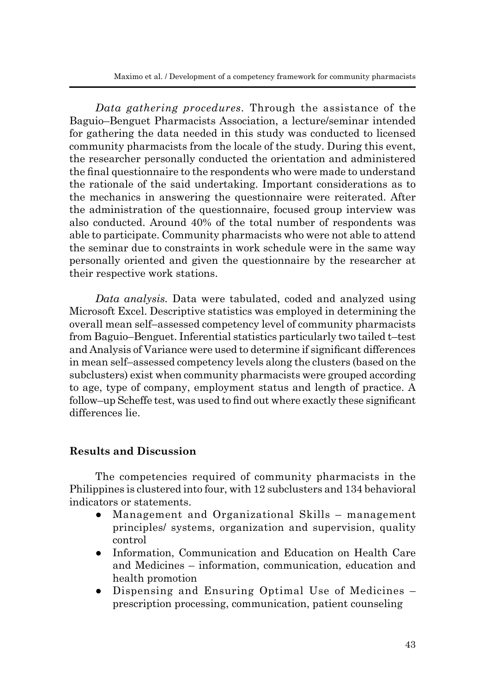*Data gathering procedures.* Through the assistance of the Baguio–Benguet Pharmacists Association, a lecture/seminar intended for gathering the data needed in this study was conducted to licensed community pharmacists from the locale of the study. During this event, the researcher personally conducted the orientation and administered the final questionnaire to the respondents who were made to understand the rationale of the said undertaking. Important considerations as to the mechanics in answering the questionnaire were reiterated. After the administration of the questionnaire, focused group interview was also conducted. Around 40% of the total number of respondents was able to participate. Community pharmacists who were not able to attend the seminar due to constraints in work schedule were in the same way personally oriented and given the questionnaire by the researcher at their respective work stations.

*Data analysis.* Data were tabulated, coded and analyzed using Microsoft Excel. Descriptive statistics was employed in determining the overall mean self–assessed competency level of community pharmacists from Baguio–Benguet. Inferential statistics particularly two tailed t–test and Analysis of Variance were used to determine if significant differences in mean self–assessed competency levels along the clusters (based on the subclusters) exist when community pharmacists were grouped according to age, type of company, employment status and length of practice. A follow–up Scheffe test, was used to find out where exactly these significant differences lie.

## **Results and Discussion**

The competencies required of community pharmacists in the Philippines is clustered into four, with 12 subclusters and 134 behavioral indicators or statements.

- Management and Organizational Skills management principles/ systems, organization and supervision, quality control
- Information, Communication and Education on Health Care and Medicines – information, communication, education and health promotion
- Dispensing and Ensuring Optimal Use of Medicines prescription processing, communication, patient counseling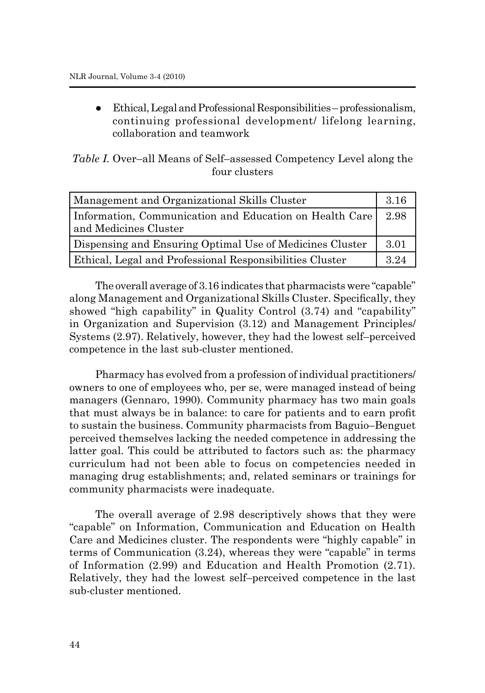Ethical, Legal and Professional Responsibilities – professionalism, continuing professional development/ lifelong learning, collaboration and teamwork

|  | <i>Table I.</i> Over-all Means of Self-assessed Competency Level along the |  |  |
|--|----------------------------------------------------------------------------|--|--|
|  | four clusters                                                              |  |  |

| Management and Organizational Skills Cluster                    |      |  |
|-----------------------------------------------------------------|------|--|
| Information, Communication and Education on Health Care         | 2.98 |  |
| and Medicines Cluster                                           |      |  |
| Dispensing and Ensuring Optimal Use of Medicines Cluster        | 3.01 |  |
| <b>Ethical, Legal and Professional Responsibilities Cluster</b> | 3 24 |  |

The overall average of 3.16 indicates that pharmacists were "capable" along Management and Organizational Skills Cluster. Specifically, they showed "high capability" in Quality Control (3.74) and "capability" in Organization and Supervision (3.12) and Management Principles/ Systems (2.97). Relatively, however, they had the lowest self–perceived competence in the last sub-cluster mentioned.

Pharmacy has evolved from a profession of individual practitioners/ owners to one of employees who, per se, were managed instead of being managers (Gennaro, 1990). Community pharmacy has two main goals that must always be in balance: to care for patients and to earn profit to sustain the business. Community pharmacists from Baguio–Benguet perceived themselves lacking the needed competence in addressing the latter goal. This could be attributed to factors such as: the pharmacy curriculum had not been able to focus on competencies needed in managing drug establishments; and, related seminars or trainings for community pharmacists were inadequate.

The overall average of 2.98 descriptively shows that they were "capable" on Information, Communication and Education on Health Care and Medicines cluster. The respondents were "highly capable" in terms of Communication (3.24), whereas they were "capable" in terms of Information (2.99) and Education and Health Promotion (2.71). Relatively, they had the lowest self–perceived competence in the last sub-cluster mentioned.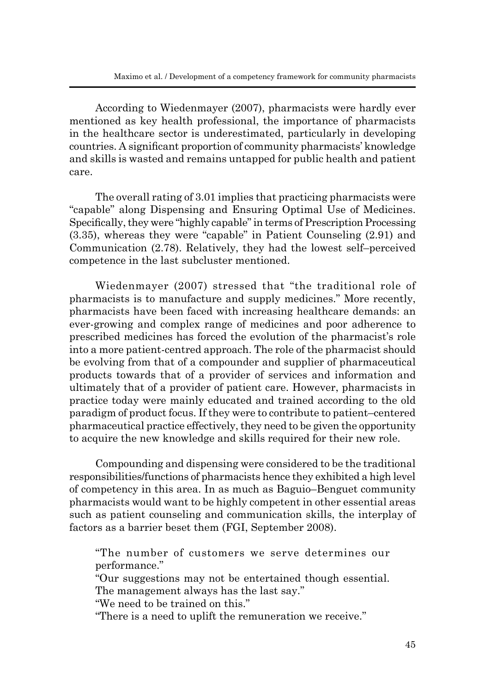According to Wiedenmayer (2007), pharmacists were hardly ever mentioned as key health professional, the importance of pharmacists in the healthcare sector is underestimated, particularly in developing countries. A significant proportion of community pharmacists' knowledge and skills is wasted and remains untapped for public health and patient care.

The overall rating of 3.01 implies that practicing pharmacists were "capable" along Dispensing and Ensuring Optimal Use of Medicines. Specifically, they were "highly capable" in terms of Prescription Processing (3.35), whereas they were "capable" in Patient Counseling (2.91) and Communication (2.78). Relatively, they had the lowest self–perceived competence in the last subcluster mentioned.

Wiedenmayer (2007) stressed that "the traditional role of pharmacists is to manufacture and supply medicines." More recently, pharmacists have been faced with increasing healthcare demands: an ever-growing and complex range of medicines and poor adherence to prescribed medicines has forced the evolution of the pharmacist's role into a more patient-centred approach. The role of the pharmacist should be evolving from that of a compounder and supplier of pharmaceutical products towards that of a provider of services and information and ultimately that of a provider of patient care. However, pharmacists in practice today were mainly educated and trained according to the old paradigm of product focus. If they were to contribute to patient–centered pharmaceutical practice effectively, they need to be given the opportunity to acquire the new knowledge and skills required for their new role.

Compounding and dispensing were considered to be the traditional responsibilities/functions of pharmacists hence they exhibited a high level of competency in this area. In as much as Baguio–Benguet community pharmacists would want to be highly competent in other essential areas such as patient counseling and communication skills, the interplay of factors as a barrier beset them (FGI, September 2008).

"The number of customers we serve determines our performance."

"Our suggestions may not be entertained though essential. The management always has the last say."

"We need to be trained on this."

"There is a need to uplift the remuneration we receive."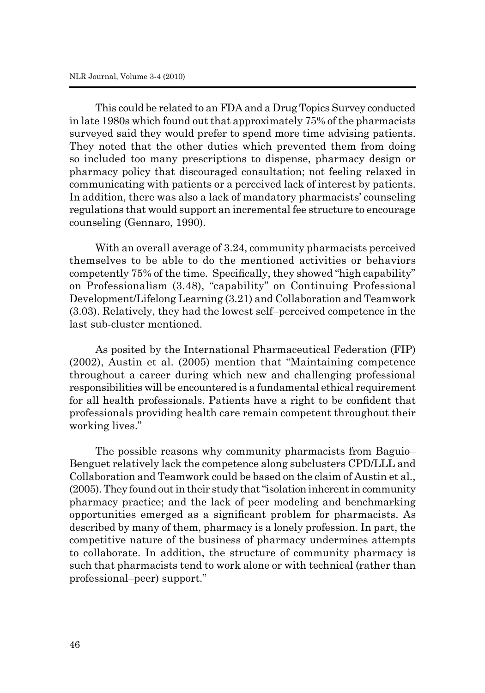This could be related to an FDA and a Drug Topics Survey conducted in late 1980s which found out that approximately 75% of the pharmacists surveyed said they would prefer to spend more time advising patients. They noted that the other duties which prevented them from doing so included too many prescriptions to dispense, pharmacy design or pharmacy policy that discouraged consultation; not feeling relaxed in communicating with patients or a perceived lack of interest by patients. In addition, there was also a lack of mandatory pharmacists' counseling regulations that would support an incremental fee structure to encourage counseling (Gennaro, 1990).

With an overall average of 3.24, community pharmacists perceived themselves to be able to do the mentioned activities or behaviors competently 75% of the time. Specifically, they showed "high capability" on Professionalism (3.48), "capability" on Continuing Professional Development/Lifelong Learning (3.21) and Collaboration and Teamwork (3.03). Relatively, they had the lowest self–perceived competence in the last sub-cluster mentioned.

As posited by the International Pharmaceutical Federation (FIP) (2002), Austin et al. (2005) mention that "Maintaining competence throughout a career during which new and challenging professional responsibilities will be encountered is a fundamental ethical requirement for all health professionals. Patients have a right to be confident that professionals providing health care remain competent throughout their working lives."

The possible reasons why community pharmacists from Baguio– Benguet relatively lack the competence along subclusters CPD/LLL and Collaboration and Teamwork could be based on the claim of Austin et al., (2005). They found out in their study that "isolation inherent in community pharmacy practice; and the lack of peer modeling and benchmarking opportunities emerged as a significant problem for pharmacists. As described by many of them, pharmacy is a lonely profession. In part, the competitive nature of the business of pharmacy undermines attempts to collaborate. In addition, the structure of community pharmacy is such that pharmacists tend to work alone or with technical (rather than professional–peer) support."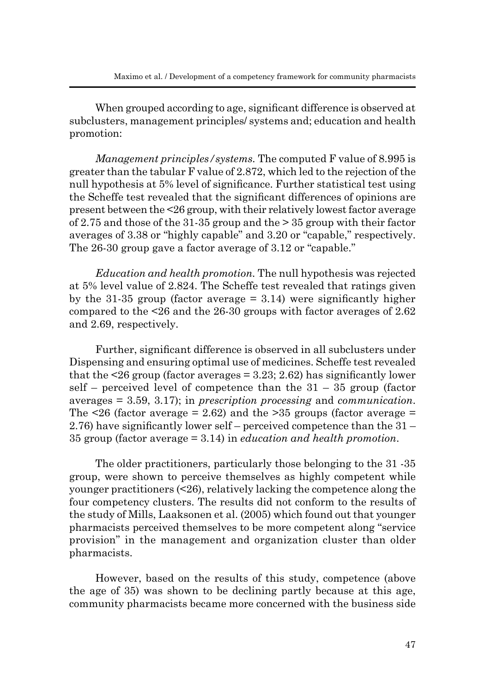When grouped according to age, significant difference is observed at subclusters, management principles/ systems and; education and health promotion:

*Management principles/systems.* The computed F value of 8.995 is greater than the tabular F value of 2.872, which led to the rejection of the null hypothesis at 5% level of significance. Further statistical test using the Scheffe test revealed that the significant differences of opinions are present between the <26 group, with their relatively lowest factor average of 2.75 and those of the 31-35 group and the  $> 35$  group with their factor averages of 3.38 or "highly capable" and 3.20 or "capable," respectively. The 26-30 group gave a factor average of 3.12 or "capable."

*Education and health promotion.* The null hypothesis was rejected at 5% level value of 2.824. The Scheffe test revealed that ratings given by the 31-35 group (factor average  $= 3.14$ ) were significantly higher compared to the <26 and the 26-30 groups with factor averages of 2.62 and 2.69, respectively.

Further, significant difference is observed in all subclusters under Dispensing and ensuring optimal use of medicines. Scheffe test revealed that the  $\leq$  26 group (factor averages = 3.23; 2.62) has significantly lower self – perceived level of competence than the  $31 - 35$  group (factor averages = 3.59, 3.17); in *prescription processing* and *communication*. The  $\leq$ 26 (factor average = 2.62) and the  $\geq$ 35 groups (factor average = 2.76) have significantly lower self – perceived competence than the 31 – 35 group (factor average = 3.14) in *education and health promotion*.

The older practitioners, particularly those belonging to the 31 -35 group, were shown to perceive themselves as highly competent while younger practitioners (<26), relatively lacking the competence along the four competency clusters. The results did not conform to the results of the study of Mills, Laaksonen et al. (2005) which found out that younger pharmacists perceived themselves to be more competent along "service provision" in the management and organization cluster than older pharmacists.

However, based on the results of this study, competence (above the age of 35) was shown to be declining partly because at this age, community pharmacists became more concerned with the business side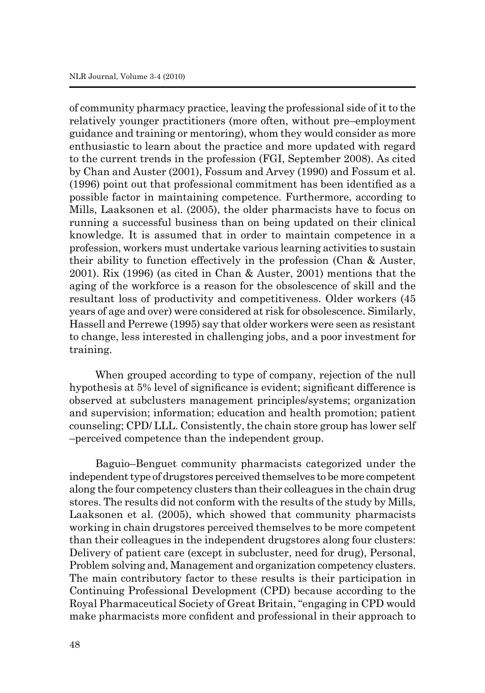of community pharmacy practice, leaving the professional side of it to the relatively younger practitioners (more often, without pre–employment guidance and training or mentoring), whom they would consider as more enthusiastic to learn about the practice and more updated with regard to the current trends in the profession (FGI, September 2008). As cited by Chan and Auster (2001), Fossum and Arvey (1990) and Fossum et al. (1996) point out that professional commitment has been identified as a possible factor in maintaining competence. Furthermore, according to Mills, Laaksonen et al. (2005), the older pharmacists have to focus on running a successful business than on being updated on their clinical knowledge. It is assumed that in order to maintain competence in a profession, workers must undertake various learning activities to sustain their ability to function effectively in the profession (Chan & Auster, 2001). Rix (1996) (as cited in Chan & Auster, 2001) mentions that the aging of the workforce is a reason for the obsolescence of skill and the resultant loss of productivity and competitiveness. Older workers (45 years of age and over) were considered at risk for obsolescence. Similarly, Hassell and Perrewe (1995) say that older workers were seen as resistant to change, less interested in challenging jobs, and a poor investment for training.

When grouped according to type of company, rejection of the null hypothesis at 5% level of significance is evident; significant difference is observed at subclusters management principles/systems; organization and supervision; information; education and health promotion; patient counseling; CPD/ LLL. Consistently, the chain store group has lower self –perceived competence than the independent group.

Baguio–Benguet community pharmacists categorized under the independent type of drugstores perceived themselves to be more competent along the four competency clusters than their colleagues in the chain drug stores. The results did not conform with the results of the study by Mills, Laaksonen et al. (2005), which showed that community pharmacists working in chain drugstores perceived themselves to be more competent than their colleagues in the independent drugstores along four clusters: Delivery of patient care (except in subcluster, need for drug), Personal, Problem solving and, Management and organization competency clusters. The main contributory factor to these results is their participation in Continuing Professional Development (CPD) because according to the Royal Pharmaceutical Society of Great Britain, "engaging in CPD would make pharmacists more confident and professional in their approach to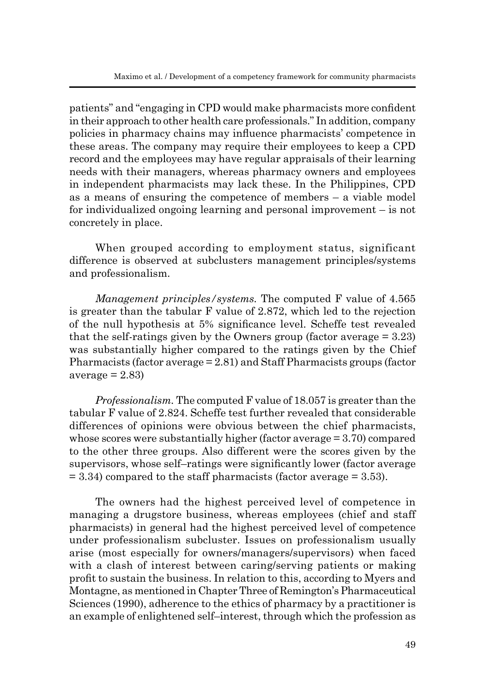patients" and "engaging in CPD would make pharmacists more confident in their approach to other health care professionals." In addition, company policies in pharmacy chains may influence pharmacists' competence in these areas. The company may require their employees to keep a CPD record and the employees may have regular appraisals of their learning needs with their managers, whereas pharmacy owners and employees in independent pharmacists may lack these. In the Philippines, CPD as a means of ensuring the competence of members – a viable model for individualized ongoing learning and personal improvement – is not concretely in place.

When grouped according to employment status, significant difference is observed at subclusters management principles/systems and professionalism.

*Management principles/systems.* The computed F value of 4.565 is greater than the tabular F value of 2.872, which led to the rejection of the null hypothesis at 5% significance level. Scheffe test revealed that the self-ratings given by the Owners group (factor average  $= 3.23$ ) was substantially higher compared to the ratings given by the Chief Pharmacists (factor average = 2.81) and Staff Pharmacists groups (factor  $average = 2.83$ 

*Professionalism.* The computed F value of 18.057 is greater than the tabular F value of 2.824. Scheffe test further revealed that considerable differences of opinions were obvious between the chief pharmacists, whose scores were substantially higher (factor average = 3.70) compared to the other three groups. Also different were the scores given by the supervisors, whose self–ratings were significantly lower (factor average  $= 3.34$ ) compared to the staff pharmacists (factor average  $= 3.53$ ).

The owners had the highest perceived level of competence in managing a drugstore business, whereas employees (chief and staff pharmacists) in general had the highest perceived level of competence under professionalism subcluster. Issues on professionalism usually arise (most especially for owners/managers/supervisors) when faced with a clash of interest between caring/serving patients or making profit to sustain the business. In relation to this, according to Myers and Montagne, as mentioned in Chapter Three of Remington's Pharmaceutical Sciences (1990), adherence to the ethics of pharmacy by a practitioner is an example of enlightened self–interest, through which the profession as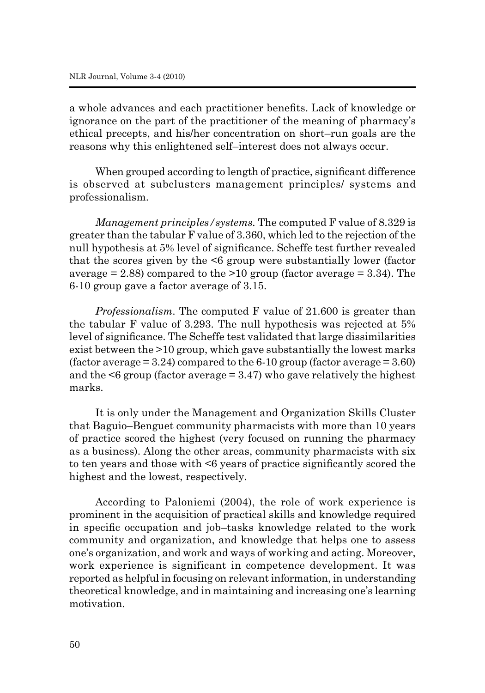a whole advances and each practitioner benefits. Lack of knowledge or ignorance on the part of the practitioner of the meaning of pharmacy's ethical precepts, and his/her concentration on short–run goals are the reasons why this enlightened self–interest does not always occur.

When grouped according to length of practice, significant difference is observed at subclusters management principles/ systems and professionalism.

*Management principles/systems.* The computed F value of 8.329 is greater than the tabular F value of 3.360, which led to the rejection of the null hypothesis at 5% level of significance. Scheffe test further revealed that the scores given by the <6 group were substantially lower (factor average  $= 2.88$ ) compared to the  $>10$  group (factor average  $= 3.34$ ). The 6-10 group gave a factor average of 3.15.

*Professionalism*. The computed F value of 21.600 is greater than the tabular F value of 3.293. The null hypothesis was rejected at 5% level of significance. The Scheffe test validated that large dissimilarities exist between the >10 group, which gave substantially the lowest marks (factor average  $= 3.24$ ) compared to the 6-10 group (factor average  $= 3.60$ ) and the  $\leq 6$  group (factor average = 3.47) who gave relatively the highest marks.

It is only under the Management and Organization Skills Cluster that Baguio–Benguet community pharmacists with more than 10 years of practice scored the highest (very focused on running the pharmacy as a business). Along the other areas, community pharmacists with six to ten years and those with <6 years of practice significantly scored the highest and the lowest, respectively.

According to Paloniemi (2004), the role of work experience is prominent in the acquisition of practical skills and knowledge required in specific occupation and job–tasks knowledge related to the work community and organization, and knowledge that helps one to assess one's organization, and work and ways of working and acting. Moreover, work experience is significant in competence development. It was reported as helpful in focusing on relevant information, in understanding theoretical knowledge, and in maintaining and increasing one's learning motivation.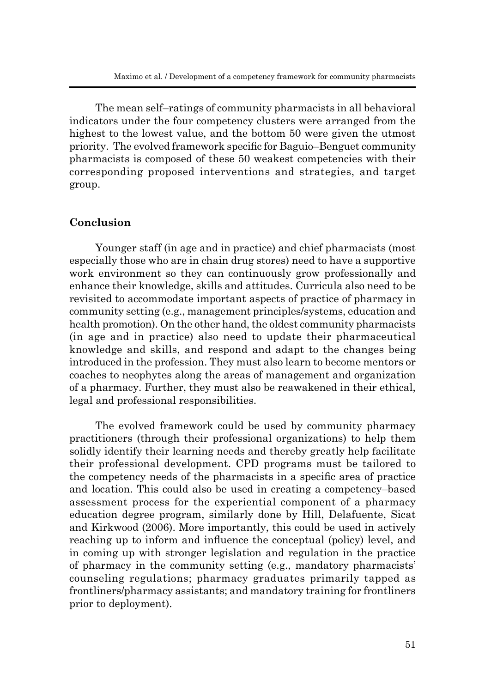The mean self–ratings of community pharmacists in all behavioral indicators under the four competency clusters were arranged from the highest to the lowest value, and the bottom 50 were given the utmost priority. The evolved framework specific for Baguio–Benguet community pharmacists is composed of these 50 weakest competencies with their corresponding proposed interventions and strategies, and target group.

## **Conclusion**

Younger staff (in age and in practice) and chief pharmacists (most especially those who are in chain drug stores) need to have a supportive work environment so they can continuously grow professionally and enhance their knowledge, skills and attitudes. Curricula also need to be revisited to accommodate important aspects of practice of pharmacy in community setting (e.g., management principles/systems, education and health promotion). On the other hand, the oldest community pharmacists (in age and in practice) also need to update their pharmaceutical knowledge and skills, and respond and adapt to the changes being introduced in the profession. They must also learn to become mentors or coaches to neophytes along the areas of management and organization of a pharmacy. Further, they must also be reawakened in their ethical, legal and professional responsibilities.

The evolved framework could be used by community pharmacy practitioners (through their professional organizations) to help them solidly identify their learning needs and thereby greatly help facilitate their professional development. CPD programs must be tailored to the competency needs of the pharmacists in a specific area of practice and location. This could also be used in creating a competency–based assessment process for the experiential component of a pharmacy education degree program, similarly done by Hill, Delafuente, Sicat and Kirkwood (2006). More importantly, this could be used in actively reaching up to inform and influence the conceptual (policy) level, and in coming up with stronger legislation and regulation in the practice of pharmacy in the community setting (e.g., mandatory pharmacists' counseling regulations; pharmacy graduates primarily tapped as frontliners/pharmacy assistants; and mandatory training for frontliners prior to deployment).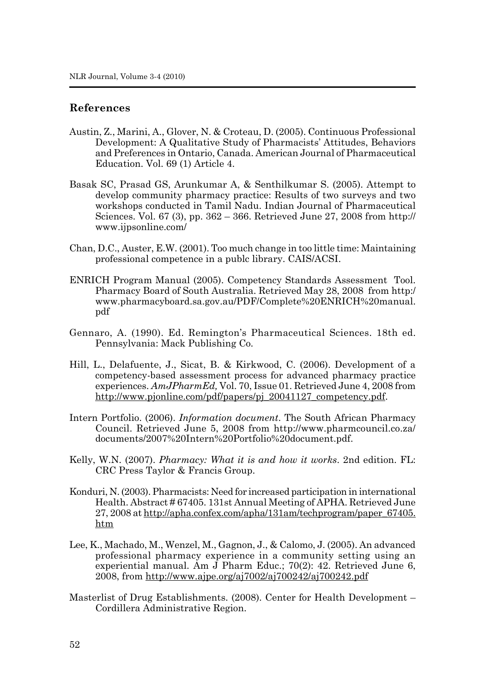## **References**

- Austin, Z., Marini, A., Glover, N. & Croteau, D. (2005). Continuous Professional Development: A Qualitative Study of Pharmacists' Attitudes, Behaviors and Preferences in Ontario, Canada. American Journal of Pharmaceutical Education. Vol. 69 (1) Article 4.
- Basak SC, Prasad GS, Arunkumar A, & Senthilkumar S. (2005). Attempt to develop community pharmacy practice: Results of two surveys and two workshops conducted in Tamil Nadu. Indian Journal of Pharmaceutical Sciences. Vol. 67 (3), pp. 362 – 366. Retrieved June 27, 2008 from http:// www.ijpsonline.com/
- Chan, D.C., Auster, E.W. (2001). Too much change in too little time: Maintaining professional competence in a publc library. CAIS/ACSI.
- ENRICH Program Manual (2005). Competency Standards Assessment Tool. Pharmacy Board of South Australia. Retrieved May 28, 2008 from http:/ www.pharmacyboard.sa.gov.au/PDF/Complete%20ENRICH%20manual. pdf
- Gennaro, A. (1990). Ed. Remington's Pharmaceutical Sciences. 18th ed. Pennsylvania: Mack Publishing Co.
- Hill, L., Delafuente, J., Sicat, B. & Kirkwood, C. (2006). Development of a competency-based assessment process for advanced pharmacy practice experiences. *AmJPharmEd,* Vol. 70, Issue 01. Retrieved June 4, 2008 from http://www.pjonline.com/pdf/papers/pj\_20041127\_competency.pdf.
- Intern Portfolio. (2006). *Information document*. The South African Pharmacy Council. Retrieved June 5, 2008 from http://www.pharmcouncil.co.za/ documents/2007%20Intern%20Portfolio%20document.pdf.
- Kelly, W.N. (2007). *Pharmacy: What it is and how it works*. 2nd edition. FL: CRC Press Taylor & Francis Group.
- Konduri, N. (2003). Pharmacists: Need for increased participation in international Health. Abstract # 67405. 131st Annual Meeting of APHA. Retrieved June 27, 2008 at http://apha.confex.com/apha/131am/techprogram/paper\_67405. htm
- Lee, K., Machado, M., Wenzel, M., Gagnon, J., & Calomo, J. (2005). An advanced professional pharmacy experience in a community setting using an experiential manual. Am J Pharm Educ.; 70(2): 42. Retrieved June 6, 2008, from http://www.ajpe.org/aj7002/aj700242/aj700242.pdf
- Masterlist of Drug Establishments. (2008). Center for Health Development Cordillera Administrative Region.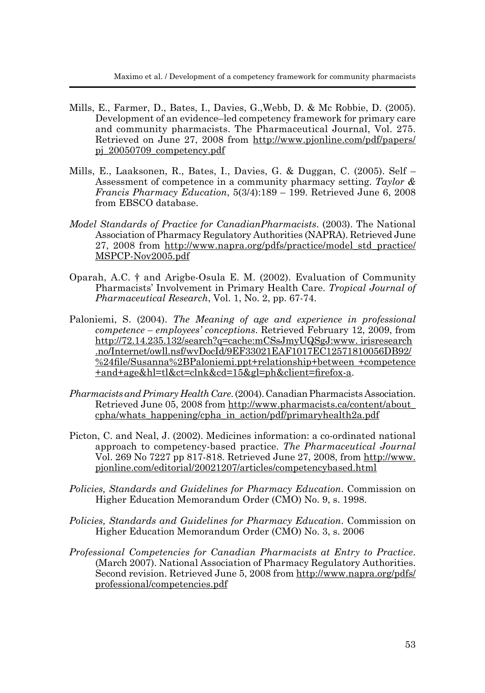- Mills, E., Farmer, D., Bates, I., Davies, G.,Webb, D. & Mc Robbie, D. (2005). Development of an evidence–led competency framework for primary care and community pharmacists. The Pharmaceutical Journal, Vol. 275. Retrieved on June 27, 2008 from http://www.pjonline.com/pdf/papers/ pj\_20050709\_competency.pdf
- Mills, E., Laaksonen, R., Bates, I., Davies, G. & Duggan, C. (2005). Self Assessment of competence in a community pharmacy setting. *Taylor & Francis Pharmacy Education*, 5(3/4):189 – 199. Retrieved June 6, 2008 from EBSCO database.
- *Model Standards of Practice for CanadianPharmacists*. (2003). The National Association of Pharmacy Regulatory Authorities (NAPRA). Retrieved June 27, 2008 from http://www.napra.org/pdfs/practice/model\_std\_practice/ MSPCP-Nov2005.pdf
- Oparah, A.C. † and Arigbe-Osula E. M. (2002). Evaluation of Community Pharmacists' Involvement in Primary Health Care. *Tropical Journal of Pharmaceutical Research*, Vol. 1, No. 2, pp. 67-74.
- Paloniemi, S. (2004). *The Meaning of age and experience in professional competence – employees' conceptions*. Retrieved February 12, 2009, from http://72.14.235.132/search?q=cache:mCSsJmyUQSgJ:www. irisresearch .no/Internet/owll.nsf/wvDocId/9EF33021EAF1017EC12571810056DB92/ %24file/Susanna%2BPaloniemi.ppt+relationship+between +competence +and+age&hl=tl&ct=clnk&cd=15&gl=ph&client=firefox-a.
- *Pharmacists and Primary Health Care*. (2004). Canadian Pharmacists Association. Retrieved June 05, 2008 from http://www.pharmacists.ca/content/about\_ cpha/whats\_happening/cpha\_in\_action/pdf/primaryhealth2a.pdf
- Picton, C. and Neal, J. (2002). Medicines information: a co-ordinated national approach to competency-based practice. *The Pharmaceutical Journal*  Vol. 269 No 7227 pp 817-818. Retrieved June 27, 2008, from http://www. pjonline.com/editorial/20021207/articles/competencybased.html
- *Policies, Standards and Guidelines for Pharmacy Education*. Commission on Higher Education Memorandum Order (CMO) No. 9, s. 1998.
- *Policies, Standards and Guidelines for Pharmacy Education*. Commission on Higher Education Memorandum Order (CMO) No. 3, s. 2006
- *Professional Competencies for Canadian Pharmacists at Entry to Practice*. (March 2007). National Association of Pharmacy Regulatory Authorities. Second revision. Retrieved June 5, 2008 from http://www.napra.org/pdfs/ professional/competencies.pdf